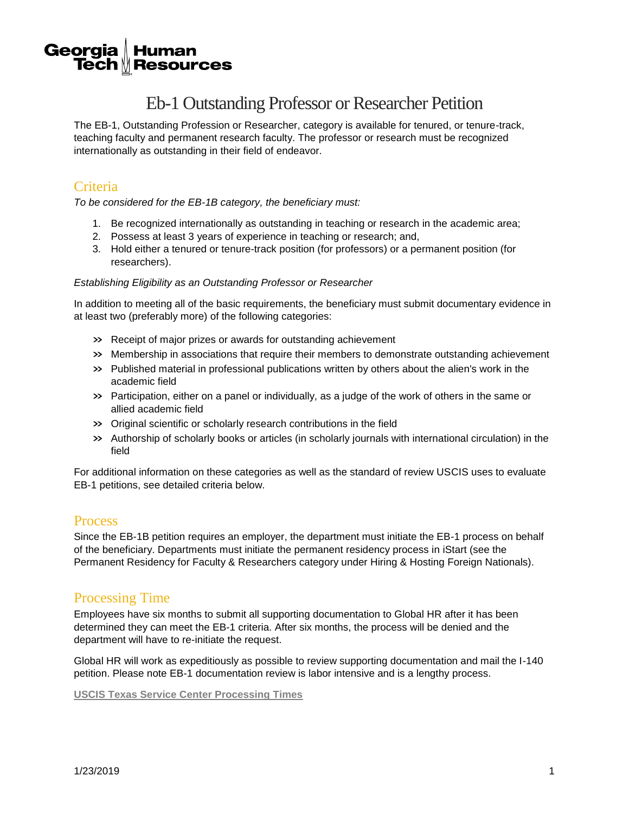#### Georgia **Human** Tech  $\mathbin{\text{\tt\&}}$  Resources

# Eb-1 Outstanding Professor or Researcher Petition

The EB-1, Outstanding Profession or Researcher, category is available for tenured, or tenure-track, teaching faculty and permanent research faculty. The professor or research must be recognized internationally as outstanding in their field of endeavor.

# **Criteria**

*To be considered for the EB-1B category, the beneficiary must:*

- 1. Be recognized internationally as outstanding in teaching or research in the academic area;
- 2. Possess at least 3 years of experience in teaching or research; and,
- 3. Hold either a tenured or tenure-track position (for professors) or a permanent position (for researchers).

#### *Establishing Eligibility as an Outstanding Professor or Researcher*

In addition to meeting all of the basic requirements, the beneficiary must submit documentary evidence in at least two (preferably more) of the following categories:

- » Receipt of major prizes or awards for outstanding achievement
- » Membership in associations that require their members to demonstrate outstanding achievement
- » Published material in professional publications written by others about the alien's work in the academic field
- » Participation, either on a panel or individually, as a judge of the work of others in the same or allied academic field
- » Original scientific or scholarly research contributions in the field
- » Authorship of scholarly books or articles (in scholarly journals with international circulation) in the field

For additional information on these categories as well as the standard of review USCIS uses to evaluate EB-1 petitions, see detailed criteria below.

# **Process**

Since the EB-1B petition requires an employer, the department must initiate the EB-1 process on behalf of the beneficiary. Departments must initiate the permanent residency process in iStart (see the Permanent Residency for Faculty & Researchers category under Hiring & Hosting Foreign Nationals).

# Processing Time

Employees have six months to submit all supporting documentation to Global HR after it has been determined they can meet the EB-1 criteria. After six months, the process will be denied and the department will have to re-initiate the request.

Global HR will work as expeditiously as possible to review supporting documentation and mail the I-140 petition. Please note EB-1 documentation review is labor intensive and is a lengthy process.

**[USCIS Texas Service Center Processing Times](https://egov.uscis.gov/cris/processTimesDisplayInit.do)**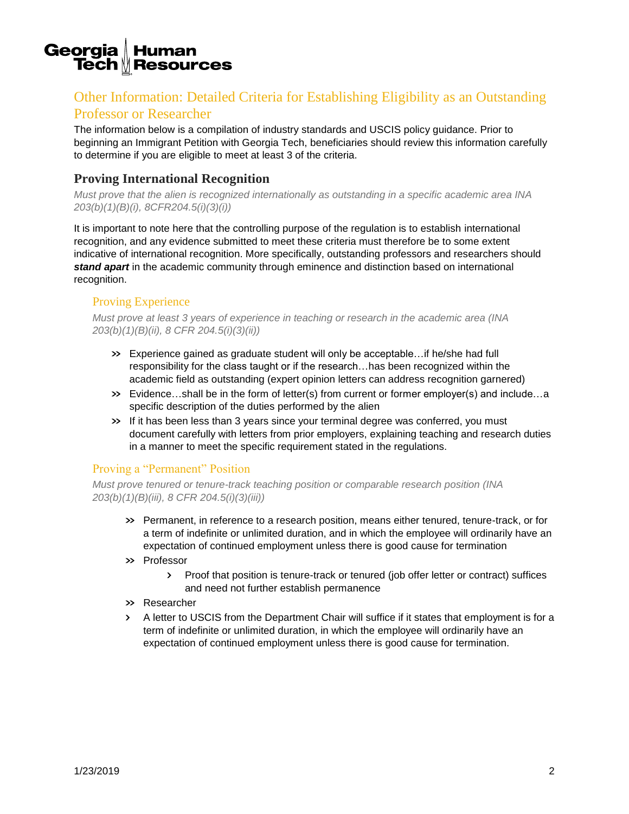#### Georgia **Human Tech** *№* Resources

# Other Information: Detailed Criteria for Establishing Eligibility as an Outstanding Professor or Researcher

The information below is a compilation of industry standards and USCIS policy guidance. Prior to beginning an Immigrant Petition with Georgia Tech, beneficiaries should review this information carefully to determine if you are eligible to meet at least 3 of the criteria.

# **Proving International Recognition**

*Must prove that the alien is recognized internationally as outstanding in a specific academic area INA 203(b)(1)(B)(i), 8CFR204.5(i)(3)(i))* 

It is important to note here that the controlling purpose of the regulation is to establish international recognition, and any evidence submitted to meet these criteria must therefore be to some extent indicative of international recognition. More specifically, outstanding professors and researchers should **stand apart** in the academic community through eminence and distinction based on international recognition.

### Proving Experience

*Must prove at least 3 years of experience in teaching or research in the academic area (INA 203(b)(1)(B)(ii), 8 CFR 204.5(i)(3)(ii))* 

- » Experience gained as graduate student will only be acceptable…if he/she had full responsibility for the class taught or if the research…has been recognized within the academic field as outstanding (expert opinion letters can address recognition garnered)
- » Evidence…shall be in the form of letter(s) from current or former employer(s) and include…a specific description of the duties performed by the alien
- » If it has been less than 3 years since your terminal degree was conferred, you must document carefully with letters from prior employers, explaining teaching and research duties in a manner to meet the specific requirement stated in the regulations.

# Proving a "Permanent" Position

*Must prove tenured or tenure-track teaching position or comparable research position (INA 203(b)(1)(B)(iii), 8 CFR 204.5(i)(3)(iii))* 

- » Permanent, in reference to a research position, means either tenured, tenure-track, or for a term of indefinite or unlimited duration, and in which the employee will ordinarily have an expectation of continued employment unless there is good cause for termination
- » Professor
	- › Proof that position is tenure-track or tenured (job offer letter or contract) suffices and need not further establish permanence
- » Researcher
- › A letter to USCIS from the Department Chair will suffice if it states that employment is for a term of indefinite or unlimited duration, in which the employee will ordinarily have an expectation of continued employment unless there is good cause for termination.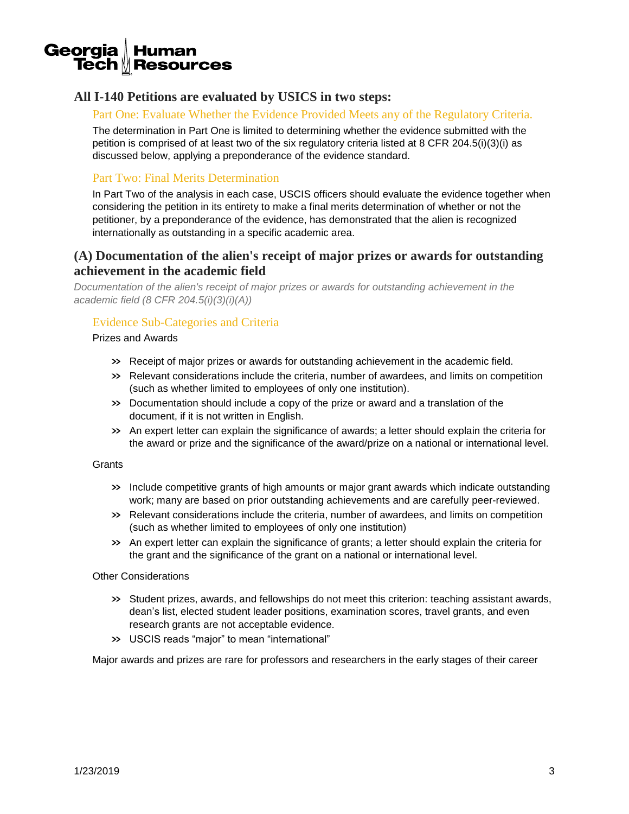

# **All I-140 Petitions are evaluated by USICS in two steps:**

#### Part One: Evaluate Whether the Evidence Provided Meets any of the Regulatory Criteria.

The determination in Part One is limited to determining whether the evidence submitted with the petition is comprised of at least two of the six regulatory criteria listed at 8 CFR 204.5(i)(3)(i) as discussed below, applying a preponderance of the evidence standard.

#### Part Two: Final Merits Determination

In Part Two of the analysis in each case, USCIS officers should evaluate the evidence together when considering the petition in its entirety to make a final merits determination of whether or not the petitioner, by a preponderance of the evidence, has demonstrated that the alien is recognized internationally as outstanding in a specific academic area.

# **(A) Documentation of the alien's receipt of major prizes or awards for outstanding achievement in the academic field**

*Documentation of the alien's receipt of major prizes or awards for outstanding achievement in the academic field (8 CFR 204.5(i)(3)(i)(A))* 

#### Evidence Sub-Categories and Criteria

Prizes and Awards

- » Receipt of major prizes or awards for outstanding achievement in the academic field.
- » Relevant considerations include the criteria, number of awardees, and limits on competition (such as whether limited to employees of only one institution).
- » Documentation should include a copy of the prize or award and a translation of the document, if it is not written in English.
- » An expert letter can explain the significance of awards; a letter should explain the criteria for the award or prize and the significance of the award/prize on a national or international level.

#### **Grants**

- » Include competitive grants of high amounts or major grant awards which indicate outstanding work; many are based on prior outstanding achievements and are carefully peer-reviewed.
- » Relevant considerations include the criteria, number of awardees, and limits on competition (such as whether limited to employees of only one institution)
- » An expert letter can explain the significance of grants; a letter should explain the criteria for the grant and the significance of the grant on a national or international level.

#### Other Considerations

- » Student prizes, awards, and fellowships do not meet this criterion: teaching assistant awards, dean's list, elected student leader positions, examination scores, travel grants, and even research grants are not acceptable evidence.
- » USCIS reads "major" to mean "international"

Major awards and prizes are rare for professors and researchers in the early stages of their career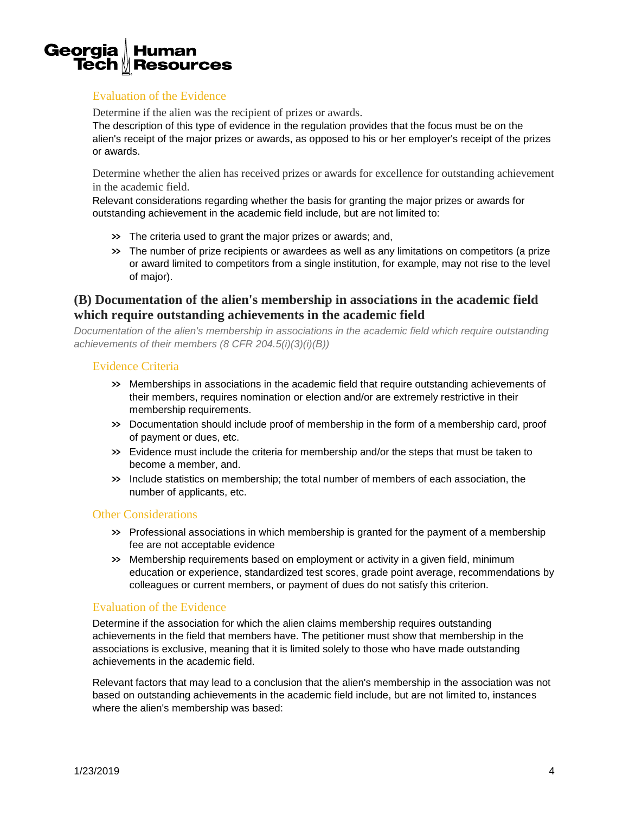#### Georgia **Human Tech**  $M$  **Resources**

# Evaluation of the Evidence

Determine if the alien was the recipient of prizes or awards.

The description of this type of evidence in the regulation provides that the focus must be on the alien's receipt of the major prizes or awards, as opposed to his or her employer's receipt of the prizes or awards.

Determine whether the alien has received prizes or awards for excellence for outstanding achievement in the academic field.

Relevant considerations regarding whether the basis for granting the major prizes or awards for outstanding achievement in the academic field include, but are not limited to:

- » The criteria used to grant the major prizes or awards; and,
- » The number of prize recipients or awardees as well as any limitations on competitors (a prize or award limited to competitors from a single institution, for example, may not rise to the level of major).

# **(B) Documentation of the alien's membership in associations in the academic field which require outstanding achievements in the academic field**

*Documentation of the alien's membership in associations in the academic field which require outstanding achievements of their members (8 CFR 204.5(i)(3)(i)(B))* 

#### Evidence Criteria

- » Memberships in associations in the academic field that require outstanding achievements of their members, requires nomination or election and/or are extremely restrictive in their membership requirements.
- » Documentation should include proof of membership in the form of a membership card, proof of payment or dues, etc.
- » Evidence must include the criteria for membership and/or the steps that must be taken to become a member, and.
- » Include statistics on membership; the total number of members of each association, the number of applicants, etc.

#### Other Considerations

- » Professional associations in which membership is granted for the payment of a membership fee are not acceptable evidence
- » Membership requirements based on employment or activity in a given field, minimum education or experience, standardized test scores, grade point average, recommendations by colleagues or current members, or payment of dues do not satisfy this criterion.

#### Evaluation of the Evidence

Determine if the association for which the alien claims membership requires outstanding achievements in the field that members have. The petitioner must show that membership in the associations is exclusive, meaning that it is limited solely to those who have made outstanding achievements in the academic field.

Relevant factors that may lead to a conclusion that the alien's membership in the association was not based on outstanding achievements in the academic field include, but are not limited to, instances where the alien's membership was based: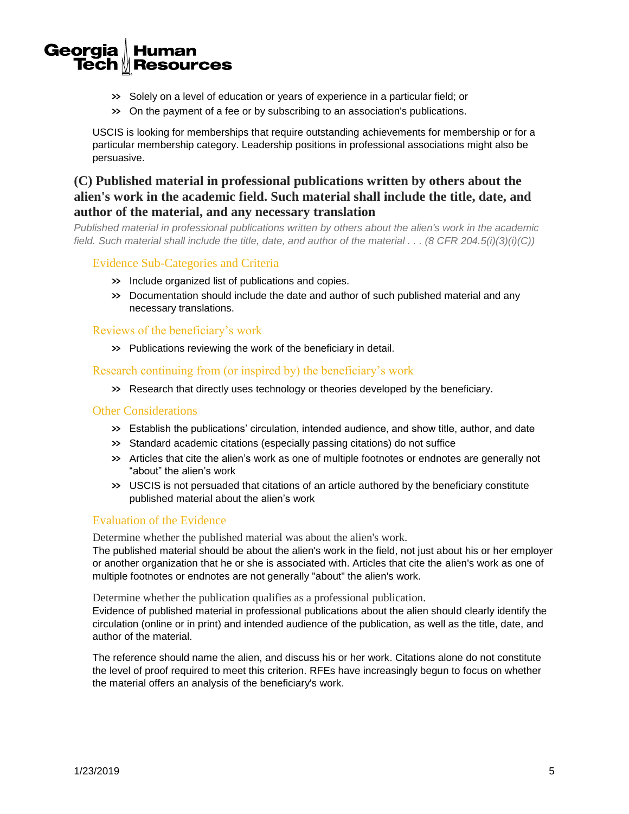#### Georgia **Human** Tech  $\mathbin{\text{\tt\&}}$  Resources

- » Solely on a level of education or years of experience in a particular field; or
- » On the payment of a fee or by subscribing to an association's publications.

USCIS is looking for memberships that require outstanding achievements for membership or for a particular membership category. Leadership positions in professional associations might also be persuasive.

# **(C) Published material in professional publications written by others about the alien's work in the academic field. Such material shall include the title, date, and author of the material, and any necessary translation**

*Published material in professional publications written by others about the alien's work in the academic field. Such material shall include the title, date, and author of the material . . . (8 CFR 204.5(i)(3)(i)(C))* 

#### Evidence Sub-Categories and Criteria

- » Include organized list of publications and copies.
- » Documentation should include the date and author of such published material and any necessary translations.

#### Reviews of the beneficiary's work

» Publications reviewing the work of the beneficiary in detail.

Research continuing from (or inspired by) the beneficiary's work

» Research that directly uses technology or theories developed by the beneficiary.

#### Other Considerations

- » Establish the publications' circulation, intended audience, and show title, author, and date
- » Standard academic citations (especially passing citations) do not suffice
- » Articles that cite the alien's work as one of multiple footnotes or endnotes are generally not "about" the alien's work
- » USCIS is not persuaded that citations of an article authored by the beneficiary constitute published material about the alien's work

#### Evaluation of the Evidence

Determine whether the published material was about the alien's work.

The published material should be about the alien's work in the field, not just about his or her employer or another organization that he or she is associated with. Articles that cite the alien's work as one of multiple footnotes or endnotes are not generally "about" the alien's work.

Determine whether the publication qualifies as a professional publication.

Evidence of published material in professional publications about the alien should clearly identify the circulation (online or in print) and intended audience of the publication, as well as the title, date, and author of the material.

The reference should name the alien, and discuss his or her work. Citations alone do not constitute the level of proof required to meet this criterion. RFEs have increasingly begun to focus on whether the material offers an analysis of the beneficiary's work.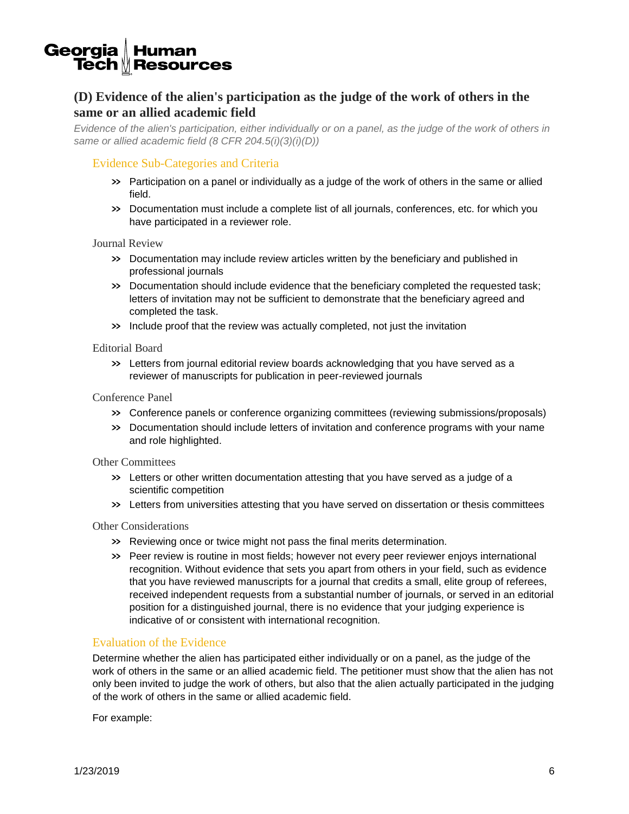#### Georgia **Human Tech**  $M$  **Resources**

# **(D) Evidence of the alien's participation as the judge of the work of others in the same or an allied academic field**

*Evidence of the alien's participation, either individually or on a panel, as the judge of the work of others in same or allied academic field (8 CFR 204.5(i)(3)(i)(D))* 

#### Evidence Sub-Categories and Criteria

- » Participation on a panel or individually as a judge of the work of others in the same or allied field.
- » Documentation must include a complete list of all journals, conferences, etc. for which you have participated in a reviewer role.

Journal Review

- » Documentation may include review articles written by the beneficiary and published in professional journals
- » Documentation should include evidence that the beneficiary completed the requested task; letters of invitation may not be sufficient to demonstrate that the beneficiary agreed and completed the task.
- » Include proof that the review was actually completed, not just the invitation

#### Editorial Board

» Letters from journal editorial review boards acknowledging that you have served as a reviewer of manuscripts for publication in peer-reviewed journals

Conference Panel

- » Conference panels or conference organizing committees (reviewing submissions/proposals)
- » Documentation should include letters of invitation and conference programs with your name and role highlighted.

Other Committees

- » Letters or other written documentation attesting that you have served as a judge of a scientific competition
- » Letters from universities attesting that you have served on dissertation or thesis committees

#### Other Considerations

- » Reviewing once or twice might not pass the final merits determination.
- » Peer review is routine in most fields; however not every peer reviewer enjoys international recognition. Without evidence that sets you apart from others in your field, such as evidence that you have reviewed manuscripts for a journal that credits a small, elite group of referees, received independent requests from a substantial number of journals, or served in an editorial position for a distinguished journal, there is no evidence that your judging experience is indicative of or consistent with international recognition.

#### Evaluation of the Evidence

Determine whether the alien has participated either individually or on a panel, as the judge of the work of others in the same or an allied academic field. The petitioner must show that the alien has not only been invited to judge the work of others, but also that the alien actually participated in the judging of the work of others in the same or allied academic field.

For example: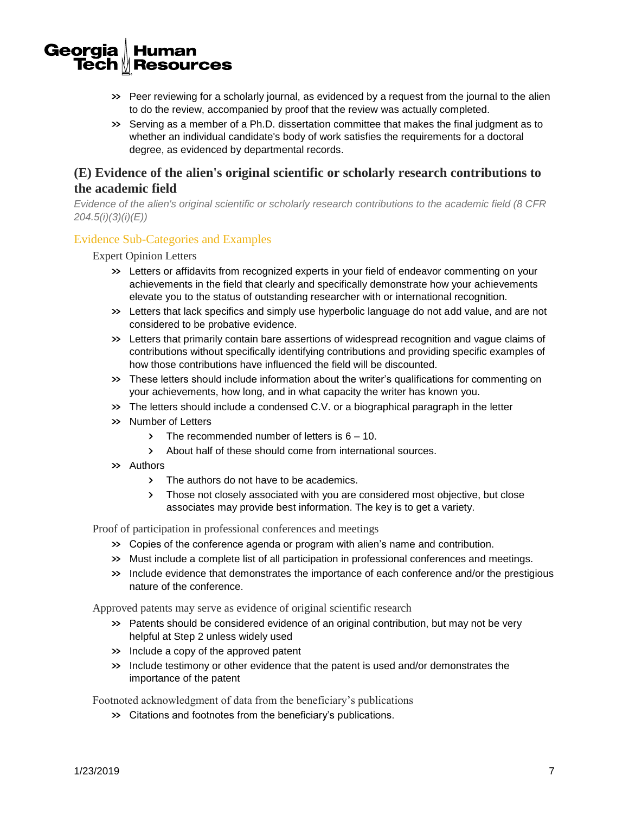#### Georgia **Human** Tech  $\mathbin{\text{\tt\&}}$  Resources

- » Peer reviewing for a scholarly journal, as evidenced by a request from the journal to the alien to do the review, accompanied by proof that the review was actually completed.
- » Serving as a member of a Ph.D. dissertation committee that makes the final judgment as to whether an individual candidate's body of work satisfies the requirements for a doctoral degree, as evidenced by departmental records.

# **(E) Evidence of the alien's original scientific or scholarly research contributions to the academic field**

*Evidence of the alien's original scientific or scholarly research contributions to the academic field (8 CFR 204.5(i)(3)(i)(E))* 

#### Evidence Sub-Categories and Examples

Expert Opinion Letters

- » Letters or affidavits from recognized experts in your field of endeavor commenting on your achievements in the field that clearly and specifically demonstrate how your achievements elevate you to the status of outstanding researcher with or international recognition.
- » Letters that lack specifics and simply use hyperbolic language do not add value, and are not considered to be probative evidence.
- » Letters that primarily contain bare assertions of widespread recognition and vague claims of contributions without specifically identifying contributions and providing specific examples of how those contributions have influenced the field will be discounted.
- » These letters should include information about the writer's qualifications for commenting on your achievements, how long, and in what capacity the writer has known you.
- » The letters should include a condensed C.V. or a biographical paragraph in the letter
- » Number of Letters
	- $\triangleright$  The recommended number of letters is  $6 10$ .
	- › About half of these should come from international sources.
- » Authors
	- › The authors do not have to be academics.
	- › Those not closely associated with you are considered most objective, but close associates may provide best information. The key is to get a variety.

Proof of participation in professional conferences and meetings

- » Copies of the conference agenda or program with alien's name and contribution.
- » Must include a complete list of all participation in professional conferences and meetings.
- » Include evidence that demonstrates the importance of each conference and/or the prestigious nature of the conference.

Approved patents may serve as evidence of original scientific research

- » Patents should be considered evidence of an original contribution, but may not be very helpful at Step 2 unless widely used
- » Include a copy of the approved patent
- » Include testimony or other evidence that the patent is used and/or demonstrates the importance of the patent

Footnoted acknowledgment of data from the beneficiary's publications

» Citations and footnotes from the beneficiary's publications.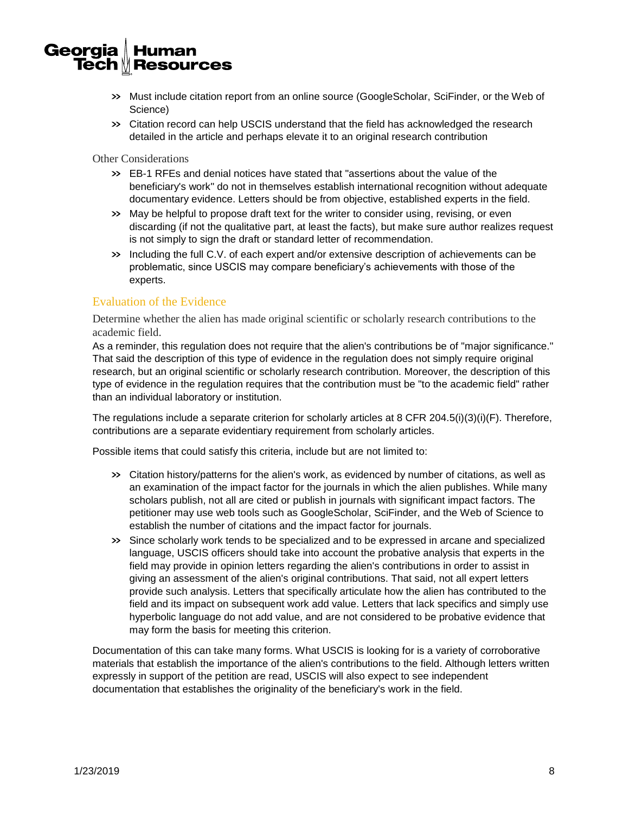#### Georgia **Human Tech**  $M$  **Resources**

- » Must include citation report from an online source (GoogleScholar, SciFinder, or the Web of Science)
- » Citation record can help USCIS understand that the field has acknowledged the research detailed in the article and perhaps elevate it to an original research contribution

Other Considerations

- » EB-1 RFEs and denial notices have stated that "assertions about the value of the beneficiary's work" do not in themselves establish international recognition without adequate documentary evidence. Letters should be from objective, established experts in the field.
- » May be helpful to propose draft text for the writer to consider using, revising, or even discarding (if not the qualitative part, at least the facts), but make sure author realizes request is not simply to sign the draft or standard letter of recommendation.
- » Including the full C.V. of each expert and/or extensive description of achievements can be problematic, since USCIS may compare beneficiary's achievements with those of the experts.

#### Evaluation of the Evidence

Determine whether the alien has made original scientific or scholarly research contributions to the academic field.

As a reminder, this regulation does not require that the alien's contributions be of "major significance." That said the description of this type of evidence in the regulation does not simply require original research, but an original scientific or scholarly research contribution. Moreover, the description of this type of evidence in the regulation requires that the contribution must be "to the academic field" rather than an individual laboratory or institution.

The regulations include a separate criterion for scholarly articles at 8 CFR 204.5(i)(3)(i)(F). Therefore, contributions are a separate evidentiary requirement from scholarly articles.

Possible items that could satisfy this criteria, include but are not limited to:

- » Citation history/patterns for the alien's work, as evidenced by number of citations, as well as an examination of the impact factor for the journals in which the alien publishes. While many scholars publish, not all are cited or publish in journals with significant impact factors. The petitioner may use web tools such as GoogleScholar, SciFinder, and the Web of Science to establish the number of citations and the impact factor for journals.
- » Since scholarly work tends to be specialized and to be expressed in arcane and specialized language, USCIS officers should take into account the probative analysis that experts in the field may provide in opinion letters regarding the alien's contributions in order to assist in giving an assessment of the alien's original contributions. That said, not all expert letters provide such analysis. Letters that specifically articulate how the alien has contributed to the field and its impact on subsequent work add value. Letters that lack specifics and simply use hyperbolic language do not add value, and are not considered to be probative evidence that may form the basis for meeting this criterion.

Documentation of this can take many forms. What USCIS is looking for is a variety of corroborative materials that establish the importance of the alien's contributions to the field. Although letters written expressly in support of the petition are read, USCIS will also expect to see independent documentation that establishes the originality of the beneficiary's work in the field.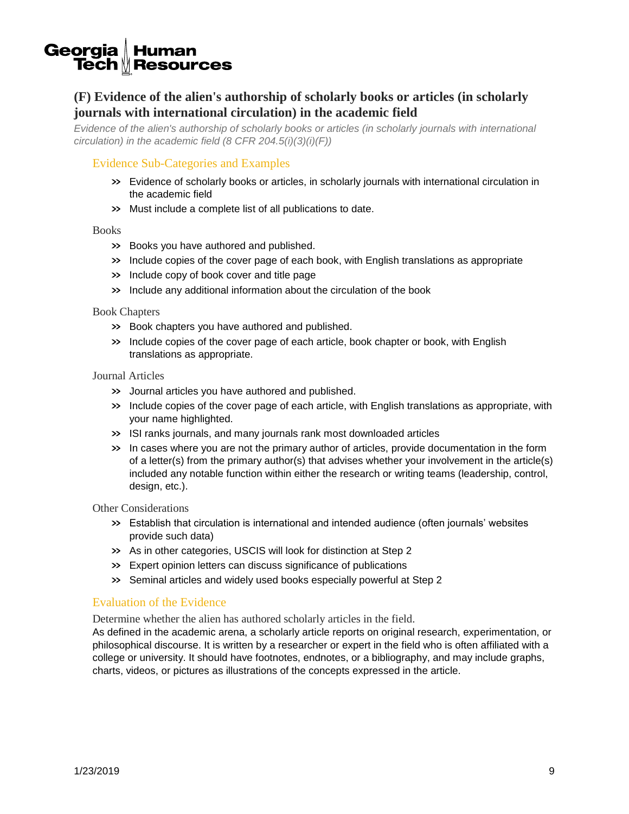#### Georgia **Human Tech** <u>∥</u> Resources

# **(F) Evidence of the alien's authorship of scholarly books or articles (in scholarly journals with international circulation) in the academic field**

*Evidence of the alien's authorship of scholarly books or articles (in scholarly journals with international circulation) in the academic field (8 CFR 204.5(i)(3)(i)(F))* 

#### Evidence Sub-Categories and Examples

- » Evidence of scholarly books or articles, in scholarly journals with international circulation in the academic field
- » Must include a complete list of all publications to date.

#### Books

- » Books you have authored and published.
- » Include copies of the cover page of each book, with English translations as appropriate
- » Include copy of book cover and title page
- » Include any additional information about the circulation of the book

#### Book Chapters

- » Book chapters you have authored and published.
- » Include copies of the cover page of each article, book chapter or book, with English translations as appropriate.

#### Journal Articles

- » Journal articles you have authored and published.
- » Include copies of the cover page of each article, with English translations as appropriate, with your name highlighted.
- » ISI ranks journals, and many journals rank most downloaded articles
- » In cases where you are not the primary author of articles, provide documentation in the form of a letter(s) from the primary author(s) that advises whether your involvement in the article(s) included any notable function within either the research or writing teams (leadership, control, design, etc.).

#### Other Considerations

- » Establish that circulation is international and intended audience (often journals' websites provide such data)
- » As in other categories, USCIS will look for distinction at Step 2
- » Expert opinion letters can discuss significance of publications
- » Seminal articles and widely used books especially powerful at Step 2

#### Evaluation of the Evidence

Determine whether the alien has authored scholarly articles in the field.

As defined in the academic arena, a scholarly article reports on original research, experimentation, or philosophical discourse. It is written by a researcher or expert in the field who is often affiliated with a college or university. It should have footnotes, endnotes, or a bibliography, and may include graphs, charts, videos, or pictures as illustrations of the concepts expressed in the article.